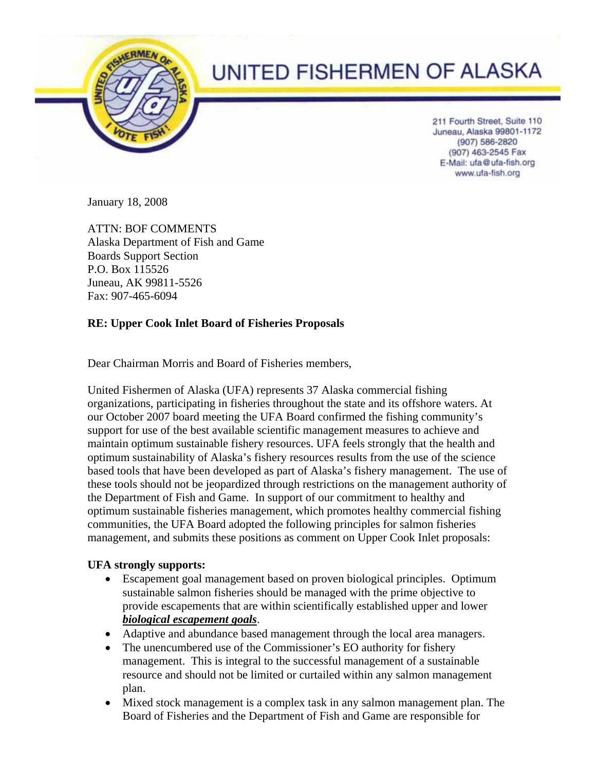

## UNITED FISHERMEN OF ALASKA

211 Fourth Street, Suite 110 Juneau, Alaska 99801-1172 (907) 586-2820 (907) 463-2545 Fax E-Mail: ufa@ufa-fish.org www.ufa-fish.org

January 18, 2008

ATTN: BOF COMMENTS Alaska Department of Fish and Game Boards Support Section P.O. Box 115526 Juneau, AK 99811-5526 Fax: 907-465-6094

## **RE: Upper Cook Inlet Board of Fisheries Proposals**

Dear Chairman Morris and Board of Fisheries members,

United Fishermen of Alaska (UFA) represents 37 Alaska commercial fishing organizations, participating in fisheries throughout the state and its offshore waters. At our October 2007 board meeting the UFA Board confirmed the fishing community's support for use of the best available scientific management measures to achieve and maintain optimum sustainable fishery resources. UFA feels strongly that the health and optimum sustainability of Alaska's fishery resources results from the use of the science based tools that have been developed as part of Alaska's fishery management. The use of these tools should not be jeopardized through restrictions on the management authority of the Department of Fish and Game. In support of our commitment to healthy and optimum sustainable fisheries management, which promotes healthy commercial fishing communities, the UFA Board adopted the following principles for salmon fisheries management, and submits these positions as comment on Upper Cook Inlet proposals:

## **UFA strongly supports:**

- Escapement goal management based on proven biological principles. Optimum sustainable salmon fisheries should be managed with the prime objective to provide escapements that are within scientifically established upper and lower *biological escapement goals*.
- Adaptive and abundance based management through the local area managers.
- The unencumbered use of the Commissioner's EO authority for fishery management. This is integral to the successful management of a sustainable resource and should not be limited or curtailed within any salmon management plan.
- Mixed stock management is a complex task in any salmon management plan. The Board of Fisheries and the Department of Fish and Game are responsible for